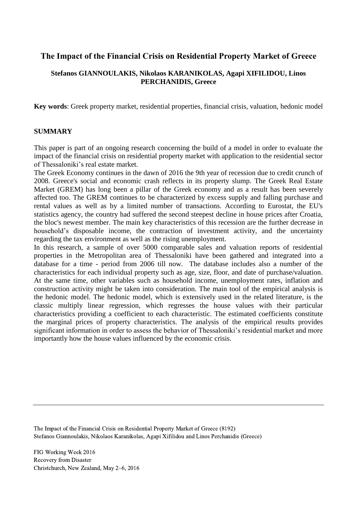# **The Impact of the Financial Crisis on Residential Property Market of Greece**

# **Stefanos GIANNOULAKIS, Nikolaos KARANIKOLAS, Agapi XIFILIDOU, Linos PERCHANIDIS, Greece**

**Key words**: Greek property market, residential properties, financial crisis, valuation, hedonic model

### **SUMMARY**

This paper is part of an ongoing research concerning the build of a model in order to evaluate the impact of the financial crisis on residential property market with application to the residential sector of Thessaloniki's real estate market.

The Greek Economy continues in the dawn of 2016 the 9th year of recession due to credit crunch of 2008. Greece's social and economic crash reflects in its property slump. The Greek Real Estate Market (GREM) has long been a pillar of the Greek economy and as a result has been severely affected too. The GREM continues to be characterized by excess supply and falling purchase and rental values as well as by a limited number of transactions. According to Eurostat, the EU's statistics agency, the country had suffered the second steepest decline in house prices after Croatia, the bloc's newest member. The main key characteristics of this recession are the further decrease in household's disposable income, the contraction of investment activity, and the uncertainty regarding the tax environment as well as the rising unemployment.

In this research, a sample of over 5000 comparable sales and valuation reports of residential properties in the Metropolitan area of Thessaloniki have been gathered and integrated into a database for a time - period from 2006 till now. The database includes also a number of the characteristics for each individual property such as age, size, floor, and date of purchase/valuation. At the same time, other variables such as household income, unemployment rates, inflation and construction activity might be taken into consideration. The main tool of the empirical analysis is the hedonic model. The hedonic model, which is extensively used in the related literature, is the classic multiply linear regression, which regresses the house values with their particular characteristics providing a coefficient to each characteristic. The estimated coefficients constitute the marginal prices of property characteristics. The analysis of the empirical results provides significant information in order to assess the behavior of Thessaloniki's residential market and more importantly how the house values influenced by the economic crisis.

The Impact of the Financial Crisis on Residential Property Market of Greece (8192) Stefanos Giannoulakis, Nikolaos Karanikolas, Agapi Xifilidou and Linos Perchanidis (Greece)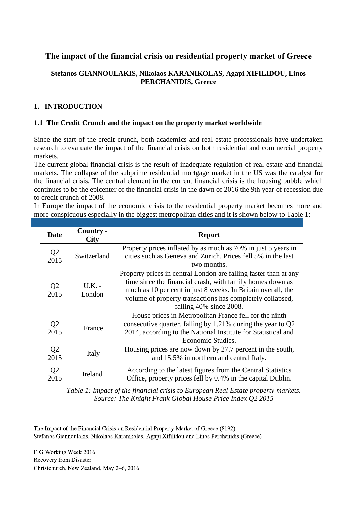# **The impact of the financial crisis on residential property market of Greece**

# **Stefanos GIANNOULAKIS, Nikolaos KARANIKOLAS, Agapi XIFILIDOU, Linos PERCHANIDIS, Greece**

# **1. INTRODUCTION**

### **1.1 The Credit Crunch and the impact on the property market worldwide**

Since the start of the credit crunch, both academics and real estate professionals have undertaken research to evaluate the impact of the financial crisis on both residential and commercial property markets.

The current global financial crisis is the result of inadequate regulation of real estate and financial markets. The collapse of the subprime residential mortgage market in the US was the catalyst for the financial crisis. The central element in the current financial crisis is the housing bubble which continues to be the epicenter of the financial crisis in the dawn of 2016 the 9th year of recession due to credit crunch of 2008.

In Europe the impact of the economic crisis to the residential property market becomes more and more conspicuous especially in the biggest metropolitan cities and it is shown below to Table 1:

| <b>Date</b>            | Country -<br><b>City</b>                                                         | <b>Report</b>                                                                                                                                                                                                                                                                         |  |  |  |  |  |
|------------------------|----------------------------------------------------------------------------------|---------------------------------------------------------------------------------------------------------------------------------------------------------------------------------------------------------------------------------------------------------------------------------------|--|--|--|--|--|
| Q <sub>2</sub><br>2015 | Switzerland                                                                      | Property prices inflated by as much as 70% in just 5 years in<br>cities such as Geneva and Zurich. Prices fell 5% in the last<br>two months.                                                                                                                                          |  |  |  |  |  |
| Q <sub>2</sub><br>2015 | $U.K. -$<br>London                                                               | Property prices in central London are falling faster than at any<br>time since the financial crash, with family homes down as<br>much as 10 per cent in just 8 weeks. In Britain overall, the<br>volume of property transactions has completely collapsed,<br>falling 40% since 2008. |  |  |  |  |  |
| Q <sub>2</sub><br>2015 | France                                                                           | House prices in Metropolitan France fell for the ninth<br>consecutive quarter, falling by $1.21\%$ during the year to Q2<br>2014, according to the National Institute for Statistical and<br>Economic Studies.                                                                        |  |  |  |  |  |
| Q <sub>2</sub><br>2015 | Italy                                                                            | Housing prices are now down by 27.7 percent in the south,<br>and 15.5% in northern and central Italy.                                                                                                                                                                                 |  |  |  |  |  |
| Q <sub>2</sub><br>2015 | <b>Ireland</b>                                                                   | According to the latest figures from the Central Statistics<br>Office, property prices fell by 0.4% in the capital Dublin.                                                                                                                                                            |  |  |  |  |  |
|                        | Table 1: Impact of the financial crisis to Furopean Real Estate property markets |                                                                                                                                                                                                                                                                                       |  |  |  |  |  |

*Table 1: Impact of the financial crisis to European Real Estate property markets. Source: The Knight Frank Global House Price Index Q2 2015*

The Impact of the Financial Crisis on Residential Property Market of Greece (8192) Stefanos Giannoulakis, Nikolaos Karanikolas, Agapi Xifilidou and Linos Perchanidis (Greece)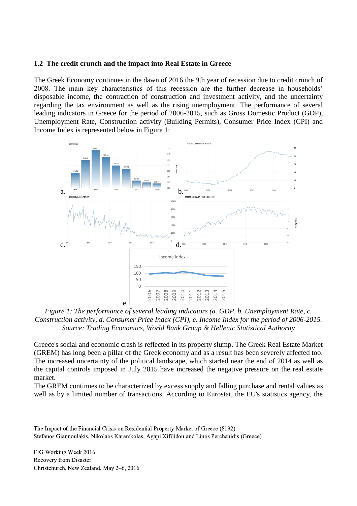### **1.2 The credit crunch and the impact into Real Estate in Greece**

The Greek Economy continues in the dawn of 2016 the 9th year of recession due to credit crunch of 2008. The main key characteristics of this recession are the further decrease in households' disposable income, the contraction of construction and investment activity, and the uncertainty regarding the tax environment as well as the rising unemployment. The performance of several leading indicators in Greece for the period of 2006-2015, such as Gross Domestic Product (GDP), Unemployment Rate, Construction activity (Building Permits), Consumer Price Index (CPI) and Income Index is represented below in Figure 1:



*Figure 1: The performance of several leading indicators (a. GDP, b. Unemployment Rate, c. Construction activity, d. Consumer Price Index (CPI), e. Income Index for the period of 2006-2015. Source: Trading Economics, World Bank Group & Hellenic Statistical Authority*

Greece's social and economic crash is reflected in its property slump. The Greek Real Estate Market (GREM) has long been a pillar of the Greek economy and as a result has been severely affected too. The increased uncertainty of the political landscape, which started near the end of 2014 as well as the capital controls imposed in July 2015 have increased the negative pressure on the real estate market.

The GREM continues to be characterized by excess supply and falling purchase and rental values as well as by a limited number of transactions. According to Eurostat, the EU's statistics agency, the

The Impact of the Financial Crisis on Residential Property Market of Greece (8192) Stefanos Giannoulakis, Nikolaos Karanikolas, Agapi Xifilidou and Linos Perchanidis (Greece)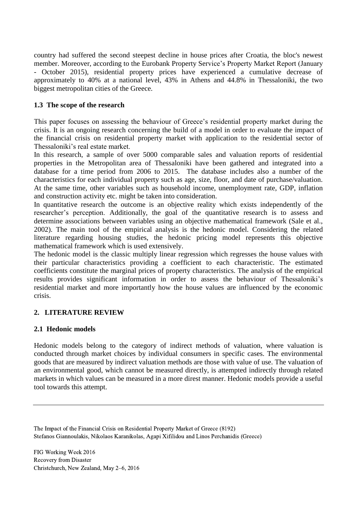country had suffered the second steepest decline in house prices after Croatia, the bloc's newest member. Moreover, according to the Eurobank Property Service's Property Market Report (January - October 2015), residential property prices have experienced a cumulative decrease of approximately to 40% at a national level, 43% in Athens and 44.8% in Thessaloniki, the two biggest metropolitan cities of the Greece.

# **1.3 The scope of the research**

This paper focuses on assessing the behaviour of Greece's residential property market during the crisis. It is an ongoing research concerning the build of a model in order to evaluate the impact of the financial crisis on residential property market with application to the residential sector of Thessaloniki's real estate market.

In this research, a sample of over 5000 comparable sales and valuation reports of residential properties in the Metropolitan area of Thessaloniki have been gathered and integrated into a database for a time period from 2006 to 2015. The database includes also a number of the characteristics for each individual property such as age, size, floor, and date of purchase/valuation. At the same time, other variables such as household income, unemployment rate, GDP, inflation and construction activity etc. might be taken into consideration.

In quantitative research the outcome is an objective reality which exists independently of the researcher's perception. Additionally, the goal of the quantitative research is to assess and determine associations between variables using an objective mathematical framework (Sale et al., 2002). The main tool of the empirical analysis is the hedonic model. Considering the related literature regarding housing studies, the hedonic pricing model represents this objective mathematical framework which is used extensively.

The hedonic model is the classic multiply linear regression which regresses the house values with their particular characteristics providing a coefficient to each characteristic. The estimated coefficients constitute the marginal prices of property characteristics. The analysis of the empirical results provides significant information in order to assess the behaviour of Thessaloniki's residential market and more importantly how the house values are influenced by the economic crisis.

# **2. LITERATURE REVIEW**

# **2.1 Hedonic models**

Hedonic models belong to the category of indirect methods of valuation, where valuation is conducted through market choices by individual consumers in specific cases. The environmental goods that are measured by indirect valuation methods are those with value of use. The valuation of an environmental good, which cannot be measured directly, is attempted indirectly through related markets in which values can be measured in a more direst manner. Hedonic models provide a useful tool towards this attempt.

The Impact of the Financial Crisis on Residential Property Market of Greece (8192) Stefanos Giannoulakis, Nikolaos Karanikolas, Agapi Xifilidou and Linos Perchanidis (Greece)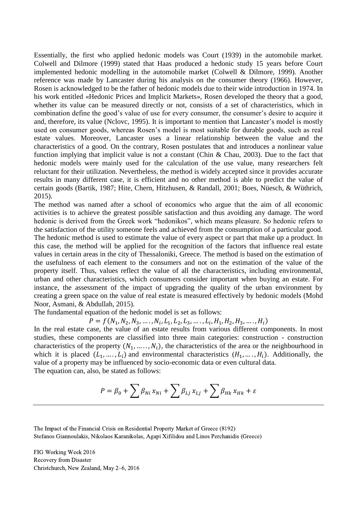Essentially, the first who applied hedonic models was Court (1939) in the automobile market. Colwell and Dilmore (1999) stated that Haas produced a hedonic study 15 years before Court implemented hedonic modelling in the automobile market (Colwell & Dilmore, 1999). Another reference was made by Lancaster during his analysis on the consumer theory (1966). However, Rosen is acknowledged to be the father of hedonic models due to their wide introduction in 1974. In his work entitled «Hedonic Prices and Implicit Markets», Rosen developed the theory that a good, whether its value can be measured directly or not, consists of a set of characteristics, which in combination define the good's value of use for every consumer, the consumer's desire to acquire it and, therefore, its value (Nclovc, 1995). It is important to mention that Lancaster's model is mostly used on consumer goods, whereas Rosen's model is most suitable for durable goods, such as real estate values. Moreover, Lancaster uses a linear relationship between the value and the characteristics of a good. On the contrary, Rosen postulates that and introduces a nonlinear value function implying that implicit value is not a constant (Chin & Chau, 2003). Due to the fact that hedonic models were mainly used for the calculation of the use value, many researchers felt reluctant for their utilization. Nevertheless, the method is widely accepted since it provides accurate results in many different case, it is efficient and no other method is able to predict the value of certain goods (Bartik, 1987; Hite, Chern, Hitzhusen, & Randall, 2001; Boes, Nüesch, & Wüthrich, 2015).

The method was named after a school of economics who argue that the aim of all economic activities is to achieve the greatest possible satisfaction and thus avoiding any damage. The word hedonic is derived from the Greek work "hedonikos", which means pleasure. So hedonic refers to the satisfaction of the utility someone feels and achieved from the consumption of a particular good. The hedonic method is used to estimate the value of every aspect or part that make up a product. In this case, the method will be applied for the recognition of the factors that influence real estate values in certain areas in the city of Thessaloniki, Greece. The method is based on the estimation of the usefulness of each element to the consumers and not on the estimation of the value of the property itself. Thus, values reflect the value of all the characteristics, including environmental, urban and other characteristics, which consumers consider important when buying an estate. For instance, the assessment of the impact of upgrading the quality of the urban environment by creating a green space on the value of real estate is measured effectively by hedonic models (Mohd Noor, Asmani, & Abdullah, 2015).

The fundamental equation of the hedonic model is set as follows:

 $P = f(N_1, N_2, N_3, \ldots, N_i, L_1, L_2, L_3, \ldots, L_i, H_1, H_2, H_3, \ldots, H_i)$ 

In the real estate case, the value of an estate results from various different components. In most studies, these components are classified into three main categories: construction - construction characteristics of the property  $(N_1, \ldots, N_i)$ , the characteristics of the area or the neighbourhood in which it is placed  $(L_1, \ldots, L_i)$  and environmental characteristics  $(H_1, \ldots, H_i)$ . Additionally, the value of a property may be influenced by socio-economic data or even cultural data. The equation can, also, be stated as follows:

$$
P = \beta_0 + \sum \beta_{Ni} x_{Ni} + \sum \beta_{Lj} x_{Lj} + \sum \beta_{Hk} x_{Hk} + \varepsilon
$$

The Impact of the Financial Crisis on Residential Property Market of Greece (8192) Stefanos Giannoulakis, Nikolaos Karanikolas, Agapi Xifilidou and Linos Perchanidis (Greece)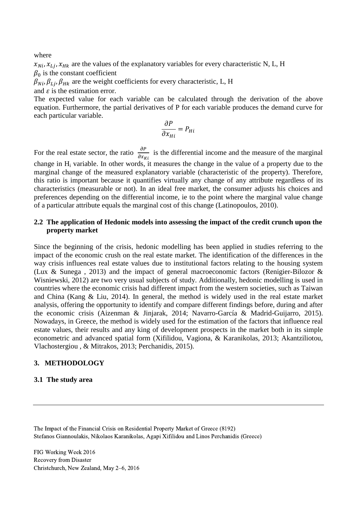where

 $x_{Ni}$ ,  $x_{Li}$ ,  $x_{Hk}$  are the values of the explanatory variables for every characteristic N, L, H  $\beta_0$  is the constant coefficient

 $\beta_{Ni}, \beta_{Lj}, \beta_{Hk}$  are the weight coefficients for every characteristic, L, H

and  $\varepsilon$  is the estimation error.

The expected value for each variable can be calculated through the derivation of the above equation. Furthermore, the partial derivatives of P for each variable produces the demand curve for each particular variable.

$$
\frac{\partial P}{\partial x_{Hi}} = P_{Hi}
$$

For the real estate sector, the ratio  $\frac{\partial P}{\partial x_{ki}}$  is the differential income and the measure of the marginal change in H<sup>i</sup> variable. In other words, it measures the change in the value of a property due to the marginal change of the measured explanatory variable (characteristic of the property). Therefore, this ratio is important because it quantifies virtually any change of any attribute regardless of its characteristics (measurable or not). In an ideal free market, the consumer adjusts his choices and preferences depending on the differential income, ie to the point where the marginal value change of a particular attribute equals the marginal cost of this change (Latinopoulos, 2010).

# **2.2 The application of Hedonic models into assessing the impact of the credit crunch upon the property market**

Since the beginning of the crisis, hedonic modelling has been applied in studies referring to the impact of the economic crush on the real estate market. The identification of the differences in the way crisis influences real estate values due to institutional factors relating to the housing system (Lux & Sunega , 2013) and the impact of general macroeconomic factors (Renigier-Bilozor & Wisniewski, 2012) are two very usual subjects of study. Additionally, hedonic modelling is used in countries where the economic crisis had different impact from the western societies, such as Taiwan and China (Kang & Liu, 2014). In general, the method is widely used in the real estate market analysis, offering the opportunity to identify and compare different findings before, during and after the economic crisis (Aizenman & Jinjarak, 2014; Navarro-García & Madrid-Guijarro, 2015). Nowadays, in Greece, the method is widely used for the estimation of the factors that influence real estate values, their results and any king of development prospects in the market both in its simple econometric and advanced spatial form (Xifilidou, Vagiona, & Karanikolas, 2013; Akantziliotou, Vlachostergiou , & Mitrakos, 2013; Perchanidis, 2015).

# **3. METHODOLOGY**

#### **3.1 The study area**

The Impact of the Financial Crisis on Residential Property Market of Greece (8192) Stefanos Giannoulakis, Nikolaos Karanikolas, Agapi Xifilidou and Linos Perchanidis (Greece)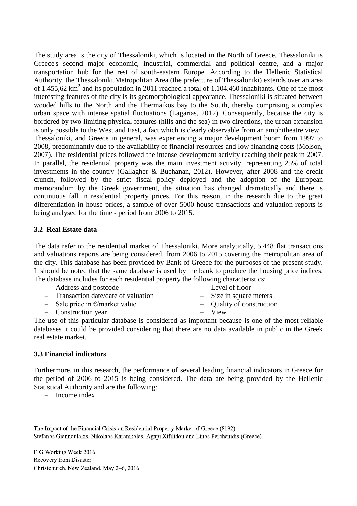The study area is the city of Thessaloniki, which is located in the North of Greece. Thessaloniki is Greece's second major economic, industrial, commercial and political centre, and a major transportation hub for the rest of south-eastern Europe. According to the Hellenic Statistical Authority, the Thessaloniki Metropolitan Area (the prefecture of Thessaloniki) extends over an area of 1.455,62  $km^2$  and its population in 2011 reached a total of 1.104.460 inhabitants. One of the most interesting features of the city is its geomorphological appearance. Thessaloniki is situated between wooded hills to the North and the Thermaikos bay to the South, thereby comprising a complex urban space with intense spatial fluctuations (Lagarias, 2012). Consequently, because the city is bordered by two limiting physical features (hills and the sea) in two directions, the urban expansion is only possible to the West and East, a fact which is clearly observable from an amphitheatre view. Thessaloniki, and Greece in general, was experiencing a major development boom from 1997 to 2008, predominantly due to the availability of financial resources and low financing costs (Molson, 2007). The residential prices followed the intense development activity reaching their peak in 2007. In parallel, the residential property was the main investment activity, representing 25% of total investments in the country (Gallagher & Buchanan, 2012). However, after 2008 and the credit crunch, followed by the strict fiscal policy deployed and the adoption of the European memorandum by the Greek government, the situation has changed dramatically and there is continuous fall in residential property prices. For this reason, in the research due to the great differentiation in house prices, a sample of over 5000 house transactions and valuation reports is being analysed for the time - period from 2006 to 2015.

#### **3.2 Real Estate data**

The data refer to the residential market of Thessaloniki. More analytically, 5.448 flat transactions and valuations reports are being considered, from 2006 to 2015 covering the metropolitan area of the city. This database has been provided by Bank of Greece for the purposes of the present study. It should be noted that the same database is used by the bank to produce the housing price indices. The database includes for each residential property the following characteristics:

- Address and postcode – Level of floor
- Transaction date/date of valuation
- Sale price in  $\epsilon$ /market value
- Construction year
- Size in square meters
- Quality of construction
- 
- View

The use of this particular database is considered as important because is one of the most reliable databases it could be provided considering that there are no data available in public in the Greek real estate market.

#### **3.3 Financial indicators**

Furthermore, in this research, the performance of several leading financial indicators in Greece for the period of 2006 to 2015 is being considered. The data are being provided by the Hellenic Statistical Authority and are the following:

– Income index

The Impact of the Financial Crisis on Residential Property Market of Greece (8192) Stefanos Giannoulakis, Nikolaos Karanikolas, Agapi Xifilidou and Linos Perchanidis (Greece)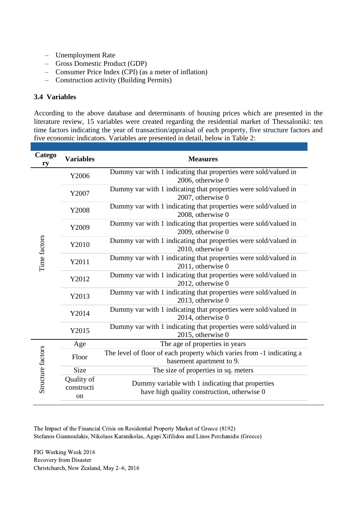- Unemployment Rate
- Gross Domestic Product (GDP)
- Consumer Price Index (CPI) (as a meter of inflation)
- Construction activity (Building Permits)

### **3.4 Variables**

According to the above database and determinants of housing prices which are presented in the literature review, 15 variables were created regarding the residential market of Thessaloniki: ten time factors indicating the year of transaction/appraisal of each property, five structure factors and five economic indicators. Variables are presented in detail, below in Table 2:

| Catego<br>ry      | <b>Variables</b>                          | <b>Measures</b>                                                                                   |  |  |  |  |  |
|-------------------|-------------------------------------------|---------------------------------------------------------------------------------------------------|--|--|--|--|--|
|                   | Y2006                                     | Dummy var with 1 indicating that properties were sold/valued in<br>2006, otherwise 0              |  |  |  |  |  |
|                   | Y2007                                     | Dummy var with 1 indicating that properties were sold/valued in<br>2007, otherwise 0              |  |  |  |  |  |
|                   | Y2008                                     | Dummy var with 1 indicating that properties were sold/valued in<br>2008, otherwise 0              |  |  |  |  |  |
|                   | Y2009                                     | Dummy var with 1 indicating that properties were sold/valued in<br>2009, otherwise 0              |  |  |  |  |  |
| Time factors      | Y2010                                     | Dummy var with 1 indicating that properties were sold/valued in<br>2010, otherwise 0              |  |  |  |  |  |
|                   | Y2011                                     | Dummy var with 1 indicating that properties were sold/valued in<br>2011, otherwise 0              |  |  |  |  |  |
|                   | Y2012                                     | Dummy var with 1 indicating that properties were sold/valued in<br>2012, otherwise 0              |  |  |  |  |  |
|                   | Y2013                                     | Dummy var with 1 indicating that properties were sold/valued in<br>2013, otherwise 0              |  |  |  |  |  |
|                   | Y2014                                     | Dummy var with 1 indicating that properties were sold/valued in<br>2014, otherwise 0              |  |  |  |  |  |
|                   | Y2015                                     | Dummy var with 1 indicating that properties were sold/valued in<br>2015, otherwise 0              |  |  |  |  |  |
|                   | Age                                       | The age of properties in years                                                                    |  |  |  |  |  |
| Structure factors | Floor                                     | The level of floor of each property which varies from -1 indicating a<br>basement apartment to 9. |  |  |  |  |  |
|                   | <b>Size</b>                               | The size of properties in sq. meters                                                              |  |  |  |  |  |
|                   | Quality of<br>constructi<br><sub>on</sub> | Dummy variable with 1 indicating that properties<br>have high quality construction, otherwise 0   |  |  |  |  |  |

The Impact of the Financial Crisis on Residential Property Market of Greece (8192) Stefanos Giannoulakis, Nikolaos Karanikolas, Agapi Xifilidou and Linos Perchanidis (Greece)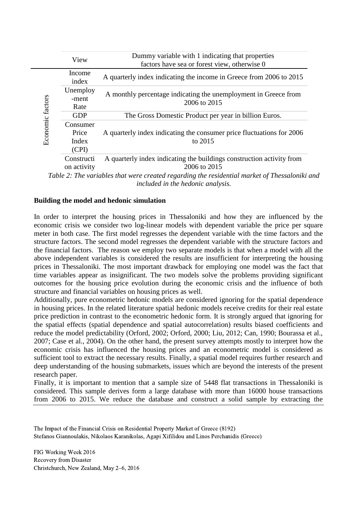| Income<br>index<br>Unemploy         | A quarterly index indicating the income in Greece from 2006 to 2015                                |
|-------------------------------------|----------------------------------------------------------------------------------------------------|
|                                     |                                                                                                    |
| -ment<br>Rate                       | A monthly percentage indicating the unemployment in Greece from<br>2006 to 2015                    |
| <b>GDP</b>                          | The Gross Domestic Product per year in billion Euros.                                              |
| Consumer<br>Price<br>Index<br>(CPI) | A quarterly index indicating the consumer price fluctuations for 2006<br>to 2015                   |
| Constructi<br>on activity           | A quarterly index indicating the buildings construction activity from<br>2006 to 2015              |
|                                     | Table $2\cdot$ The variables that were created regarding the residential market of Thessaloniki as |

*Table 2: The variables that were created regarding the residential market of Thessaloniki and included in the hedonic analysis.*

### **Building the model and hedonic simulation**

In order to interpret the housing prices in Thessaloniki and how they are influenced by the economic crisis we consider two log-linear models with dependent variable the price per square meter in both case. The first model regresses the dependent variable with the time factors and the structure factors. The second model regresses the dependent variable with the structure factors and the financial factors. The reason we employ two separate models is that when a model with all the above independent variables is considered the results are insufficient for interpreting the housing prices in Thessaloniki. The most important drawback for employing one model was the fact that time variables appear as insignificant. The two models solve the problems providing significant outcomes for the housing price evolution during the economic crisis and the influence of both structure and financial variables on housing prices as well.

Additionally, pure econometric hedonic models are considered ignoring for the spatial dependence in housing prices. In the related literature spatial hedonic models receive credits for their real estate price prediction in contrast to the econometric hedonic form. It is strongly argued that ignoring for the spatial effects (spatial dependence and spatial autocorrelation) results biased coefficients and reduce the model predictability (Orford, 2002; Orford, 2000; Liu, 2012; Can, 1990; Bourassa et al., 2007; Case et al., 2004). On the other hand, the present survey attempts mostly to interpret how the economic crisis has influenced the housing prices and an econometric model is considered as sufficient tool to extract the necessary results. Finally, a spatial model requires further research and deep understanding of the housing submarkets, issues which are beyond the interests of the present research paper.

Finally, it is important to mention that a sample size of 5448 flat transactions in Thessaloniki is considered. This sample derives form a large database with more than 16000 house transactions from 2006 to 2015. We reduce the database and construct a solid sample by extracting the

The Impact of the Financial Crisis on Residential Property Market of Greece (8192) Stefanos Giannoulakis, Nikolaos Karanikolas, Agapi Xifilidou and Linos Perchanidis (Greece)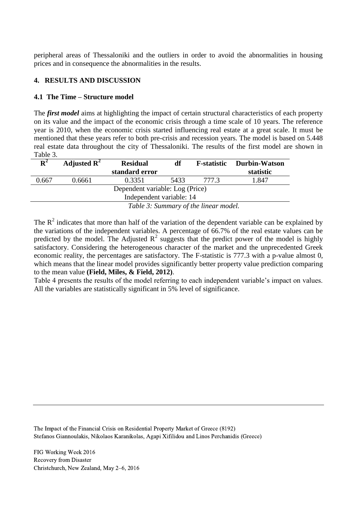peripheral areas of Thessaloniki and the outliers in order to avoid the abnormalities in housing prices and in consequence the abnormalities in the results.

### **4. RESULTS AND DISCUSSION**

### **4.1 The Time – Structure model**

The *first model* aims at highlighting the impact of certain structural characteristics of each property on its value and the impact of the economic crisis through a time scale of 10 years. The reference year is 2010, when the economic crisis started influencing real estate at a great scale. It must be mentioned that these years refer to both pre-crisis and recession years. The model is based on 5.448 real estate data throughout the city of Thessaloniki. The results of the first model are shown in Table 3.

| ${\bf R}^2$              | Adjusted $\mathbb{R}^2$               | <b>Residual</b> | df | <b>F</b> -statistic | <b>Durbin-Watson</b> |  |  |
|--------------------------|---------------------------------------|-----------------|----|---------------------|----------------------|--|--|
|                          |                                       | standard error  |    |                     | statistic            |  |  |
| 0.667                    | 1.847                                 |                 |    |                     |                      |  |  |
|                          |                                       |                 |    |                     |                      |  |  |
| Independent variable: 14 |                                       |                 |    |                     |                      |  |  |
|                          | Table 3: Summary of the linear model. |                 |    |                     |                      |  |  |

The  $R<sup>2</sup>$  indicates that more than half of the variation of the dependent variable can be explained by the variations of the independent variables. A percentage of 66.7% of the real estate values can be predicted by the model. The Adjusted  $R^2$  suggests that the predict power of the model is highly satisfactory. Considering the heterogeneous character of the market and the unprecedented Greek economic reality, the percentages are satisfactory. The F-statistic is 777.3 with a p-value almost 0, which means that the linear model provides significantly better property value prediction comparing to the mean value **(Field, Miles, & Field, 2012)**.

Table 4 presents the results of the model referring to each independent variable's impact on values. All the variables are statistically significant in 5% level of significance.

The Impact of the Financial Crisis on Residential Property Market of Greece (8192) Stefanos Giannoulakis, Nikolaos Karanikolas, Agapi Xifilidou and Linos Perchanidis (Greece)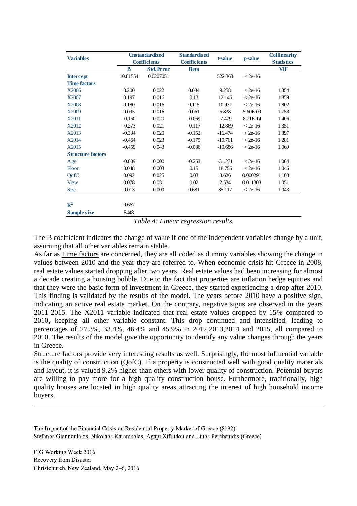| <b>Variables</b>         | <b>Unstandardized</b><br><b>Coefficients</b> |                   | <b>Standardised</b> | t-value   | p-value   | <b>Collinearity</b> |
|--------------------------|----------------------------------------------|-------------------|---------------------|-----------|-----------|---------------------|
|                          |                                              |                   | <b>Coefficients</b> |           |           | <b>Statistics</b>   |
|                          | B                                            | <b>Std. Error</b> | <b>Beta</b>         |           |           | <b>VIF</b>          |
| <b>Intercept</b>         | 10.81554                                     | 0.0207051         |                     | 522.363   | $< 2e-16$ |                     |
| <b>Time factors</b>      |                                              |                   |                     |           |           |                     |
| X2006                    | 0.200                                        | 0.022             | 0.084               | 9.258     | $<$ 2e-16 | 1.354               |
| X2007                    | 0.197                                        | 0.016             | 0.13                | 12.146    | $< 2e-16$ | 1.859               |
| X2008                    | 0.180                                        | 0.016             | 0.115               | 10.931    | $<$ 2e-16 | 1.802               |
| X2009                    | 0.095                                        | 0.016             | 0.061               | 5.838     | 5.60E-09  | 1.758               |
| X2011                    | $-0.150$                                     | 0.020             | $-0.069$            | $-7.479$  | 8.71E-14  | 1.406               |
| X2012                    | $-0.273$                                     | 0.021             | $-0.117$            | $-12.869$ | $< 2e-16$ | 1.351               |
| X2013                    | $-0.334$                                     | 0.020             | $-0.152$            | $-16.474$ | $< 2e-16$ | 1.397               |
| X2014                    | $-0.464$                                     | 0.023             | $-0.175$            | $-19.761$ | $< 2e-16$ | 1.281               |
| X2015                    | $-0.459$                                     | 0.043             | $-0.086$            | $-10.686$ | $< 2e-16$ | 1.069               |
| <b>Structure factors</b> |                                              |                   |                     |           |           |                     |
| Age                      | $-0.009$                                     | 0.000             | $-0.253$            | $-31.271$ | $< 2e-16$ | 1.064               |
| Floor                    | 0.048                                        | 0.003             | 0.15                | 18.756    | $< 2e-16$ | 1.046               |
| QofC                     | 0.092                                        | 0.025             | 0.03                | 3.626     | 0.000291  | 1.103               |
| <b>View</b>              | 0.078                                        | 0.031             | 0.02                | 2.534     | 0.011308  | 1.051               |
| <b>Size</b>              | 0.013                                        | 0.000             | 0.681               | 85.117    | $< 2e-16$ | 1.043               |
|                          |                                              |                   |                     |           |           |                     |
| $R^2$                    | 0.667                                        |                   |                     |           |           |                     |
| <b>Sample size</b>       | 5448                                         |                   |                     |           |           |                     |

*Table 4: Linear regression results.*

The B coefficient indicates the change of value if one of the independent variables change by a unit, assuming that all other variables remain stable.

As far as Time factors are concerned, they are all coded as dummy variables showing the change in values between 2010 and the year they are referred to. When economic crisis hit Greece in 2008, real estate values started dropping after two years. Real estate values had been increasing for almost a decade creating a housing bobble. Due to the fact that properties are inflation hedge equities and that they were the basic form of investment in Greece, they started experiencing a drop after 2010. This finding is validated by the results of the model. The years before 2010 have a positive sign, indicating an active real estate market. On the contrary, negative signs are observed in the years 2011-2015. The X2011 variable indicated that real estate values dropped by 15% compared to 2010, keeping all other variable constant. This drop continued and intensified, leading to percentages of 27.3%, 33.4%, 46.4% and 45.9% in 2012,2013,2014 and 2015, all compared to 2010. The results of the model give the opportunity to identify any value changes through the years in Greece.

Structure factors provide very interesting results as well. Surprisingly, the most influential variable is the quality of construction (QofC). If a property is constructed well with good quality materials and layout, it is valued 9.2% higher than others with lower quality of construction. Potential buyers are willing to pay more for a high quality construction house. Furthermore, traditionally, high quality houses are located in high quality areas attracting the interest of high household income buyers.

The Impact of the Financial Crisis on Residential Property Market of Greece (8192) Stefanos Giannoulakis, Nikolaos Karanikolas, Agapi Xifilidou and Linos Perchanidis (Greece)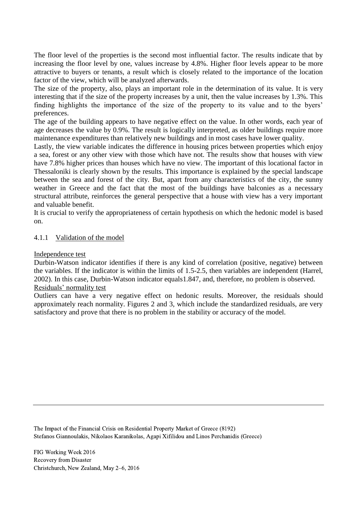The floor level of the properties is the second most influential factor. The results indicate that by increasing the floor level by one, values increase by 4.8%. Higher floor levels appear to be more attractive to buyers or tenants, a result which is closely related to the importance of the location factor of the view, which will be analyzed afterwards.

The size of the property, also, plays an important role in the determination of its value. It is very interesting that if the size of the property increases by a unit, then the value increases by 1.3%. This finding highlights the importance of the size of the property to its value and to the byers' preferences.

The age of the building appears to have negative effect on the value. In other words, each year of age decreases the value by 0.9%. The result is logically interpreted, as older buildings require more maintenance expenditures than relatively new buildings and in most cases have lower quality.

Lastly, the view variable indicates the difference in housing prices between properties which enjoy a sea, forest or any other view with those which have not. The results show that houses with view have 7.8% higher prices than houses which have no view. The important of this locational factor in Thessaloniki is clearly shown by the results. This importance is explained by the special landscape between the sea and forest of the city. But, apart from any characteristics of the city, the sunny weather in Greece and the fact that the most of the buildings have balconies as a necessary structural attribute, reinforces the general perspective that a house with view has a very important and valuable benefit.

It is crucial to verify the appropriateness of certain hypothesis on which the hedonic model is based on.

### 4.1.1 Validation of the model

#### Independence test

Durbin-Watson indicator identifies if there is any kind of correlation (positive, negative) between the variables. If the indicator is within the limits of 1.5-2.5, then variables are independent (Harrel, 2002). In this case, Durbin-Watson indicator equals1.847, and, therefore, no problem is observed. Residuals' normality test

Outliers can have a very negative effect on hedonic results. Moreover, the residuals should approximately reach normality. Figures 2 and 3, which include the standardized residuals, are very satisfactory and prove that there is no problem in the stability or accuracy of the model.

The Impact of the Financial Crisis on Residential Property Market of Greece (8192) Stefanos Giannoulakis, Nikolaos Karanikolas, Agapi Xifilidou and Linos Perchanidis (Greece)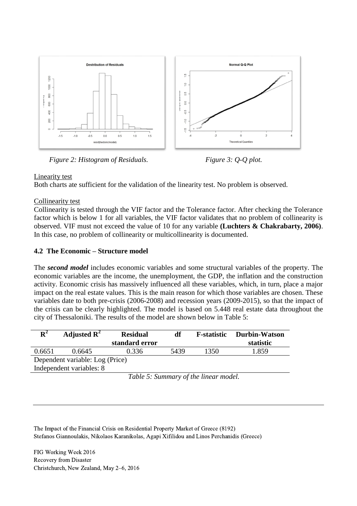

*Figure 2: Histogram of Residuals. Figure 3: Q-Q plot.*

Linearity test

Both charts ate sufficient for the validation of the linearity test. No problem is observed.

# Collinearity test

Collinearity is tested through the VIF factor and the Tolerance factor. After checking the Tolerance factor which is below 1 for all variables, the VIF factor validates that no problem of collinearity is observed. VIF must not exceed the value of 10 for any variable **(Luchters & Chakrabarty, 2006)**. In this case, no problem of collinearity or multicollinearity is documented.

# **4.2 The Economic – Structure model**

The *second model* includes economic variables and some structural variables of the property. The economic variables are the income, the unemployment, the GDP, the inflation and the construction activity. Economic crisis has massively influenced all these variables, which, in turn, place a major impact on the real estate values. This is the main reason for which those variables are chosen. These variables date to both pre-crisis (2006-2008) and recession years (2009-2015), so that the impact of the crisis can be clearly highlighted. The model is based on 5.448 real estate data throughout the city of Thessaloniki. The results of the model are shown below in Table 5:

| $\mathbf{R}^2$                                     | Adjusted $\mathbf{R}^2$ | <b>Residual</b> | df | <b>F-statistic</b> | <b>Durbin-Watson</b> |  |  |
|----------------------------------------------------|-------------------------|-----------------|----|--------------------|----------------------|--|--|
|                                                    |                         | standard error  |    |                    | statistic            |  |  |
| 5439<br>1.859<br>1350<br>0.336<br>0.6651<br>0.6645 |                         |                 |    |                    |                      |  |  |
| Dependent variable: Log (Price)                    |                         |                 |    |                    |                      |  |  |
| Independent variables: 8                           |                         |                 |    |                    |                      |  |  |

*Table 5: Summary of the linear model.*

The Impact of the Financial Crisis on Residential Property Market of Greece (8192) Stefanos Giannoulakis, Nikolaos Karanikolas, Agapi Xifilidou and Linos Perchanidis (Greece)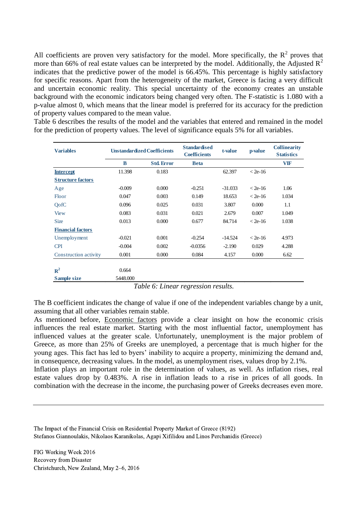All coefficients are proven very satisfactory for the model. More specifically, the  $R^2$  proves that more than 66% of real estate values can be interpreted by the model. Additionally, the Adjusted  $R^2$ indicates that the predictive power of the model is 66.45%. This percentage is highly satisfactory for specific reasons. Apart from the heterogeneity of the market, Greece is facing a very difficult and uncertain economic reality. This special uncertainty of the economy creates an unstable background with the economic indicators being changed very often. The F-statistic is 1.080 with a p-value almost 0, which means that the linear model is preferred for its accuracy for the prediction of property values compared to the mean value.

Table 6 describes the results of the model and the variables that entered and remained in the model for the prediction of property values. The level of significance equals 5% for all variables.

| <b>Variables</b>         | <b>Unstandardized Coefficients</b> |                   | <b>Standardised</b><br><b>Coefficients</b> | t-value   | <i>p</i> -value | <b>Collinearity</b><br><b>Statistics</b> |
|--------------------------|------------------------------------|-------------------|--------------------------------------------|-----------|-----------------|------------------------------------------|
|                          | B                                  | <b>Std. Error</b> | <b>Beta</b>                                |           |                 | <b>VIF</b>                               |
| <b>Intercept</b>         | 11.398                             | 0.183             |                                            | 62.397    | $< 2e-16$       |                                          |
| <b>Structure factors</b> |                                    |                   |                                            |           |                 |                                          |
| Age                      | $-0.009$                           | 0.000             | $-0.251$                                   | $-31.033$ | $<$ 2e-16       | 1.06                                     |
| Floor                    | 0.047                              | 0.003             | 0.149                                      | 18.653    | $<$ 2e-16       | 1.034                                    |
| QofC                     | 0.096                              | 0.025             | 0.031                                      | 3.807     | 0.000           | 1.1                                      |
| <b>View</b>              | 0.083                              | 0.031             | 0.021                                      | 2.679     | 0.007           | 1.049                                    |
| <b>Size</b>              | 0.013                              | 0.000             | 0.677                                      | 84.714    | $<$ 2e-16       | 1.038                                    |
| <b>Financial factors</b> |                                    |                   |                                            |           |                 |                                          |
| Unemployment             | $-0.021$                           | 0.001             | $-0.254$                                   | $-14.524$ | $<$ 2e-16       | 4.973                                    |
| <b>CPI</b>               | $-0.004$                           | 0.002             | $-0.0356$                                  | $-2.190$  | 0.029           | 4.288                                    |
| Construction activity    | 0.001                              | 0.000             | 0.084                                      | 4.157     | 0.000           | 6.62                                     |
|                          |                                    |                   |                                            |           |                 |                                          |
| $R^2$                    | 0.664                              |                   |                                            |           |                 |                                          |
| <b>Sample size</b>       | 5448.000                           |                   |                                            |           |                 |                                          |

*Table 6: Linear regression results.*

The B coefficient indicates the change of value if one of the independent variables change by a unit, assuming that all other variables remain stable.

As mentioned before, Economic factors provide a clear insight on how the economic crisis influences the real estate market. Starting with the most influential factor, unemployment has influenced values at the greater scale. Unfortunately, unemployment is the major problem of Greece, as more than 25% of Greeks are unemployed, a percentage that is much higher for the young ages. This fact has led to byers' inability to acquire a property, minimizing the demand and, in consequence, decreasing values. In the model, as unemployment rises, values drop by 2.1%. Inflation plays an important role in the determination of values, as well. As inflation rises, real estate values drop by 0.483%. A rise in inflation leads to a rise in prices of all goods. In combination with the decrease in the income, the purchasing power of Greeks decreases even more.

The Impact of the Financial Crisis on Residential Property Market of Greece (8192) Stefanos Giannoulakis, Nikolaos Karanikolas, Agapi Xifilidou and Linos Perchanidis (Greece)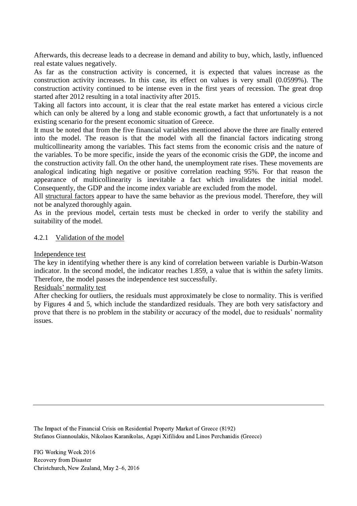Afterwards, this decrease leads to a decrease in demand and ability to buy, which, lastly, influenced real estate values negatively.

As far as the construction activity is concerned, it is expected that values increase as the construction activity increases. In this case, its effect on values is very small (0.0599%). The construction activity continued to be intense even in the first years of recession. The great drop started after 2012 resulting in a total inactivity after 2015.

Taking all factors into account, it is clear that the real estate market has entered a vicious circle which can only be altered by a long and stable economic growth, a fact that unfortunately is a not existing scenario for the present economic situation of Greece.

It must be noted that from the five financial variables mentioned above the three are finally entered into the model. The reason is that the model with all the financial factors indicating strong multicollinearity among the variables. This fact stems from the economic crisis and the nature of the variables. To be more specific, inside the years of the economic crisis the GDP, the income and the construction activity fall. On the other hand, the unemployment rate rises. These movements are analogical indicating high negative or positive correlation reaching 95%. For that reason the appearance of multicollinearity is inevitable a fact which invalidates the initial model. Consequently, the GDP and the income index variable are excluded from the model.

All structural factors appear to have the same behavior as the previous model. Therefore, they will not be analyzed thoroughly again.

As in the previous model, certain tests must be checked in order to verify the stability and suitability of the model.

### 4.2.1 Validation of the model

### Independence test

The key in identifying whether there is any kind of correlation between variable is Durbin-Watson indicator. In the second model, the indicator reaches 1.859, a value that is within the safety limits. Therefore, the model passes the independence test successfully.

#### Residuals' normality test

After checking for outliers, the residuals must approximately be close to normality. This is verified by Figures 4 and 5, which include the standardized residuals. They are both very satisfactory and prove that there is no problem in the stability or accuracy of the model, due to residuals' normality issues.

The Impact of the Financial Crisis on Residential Property Market of Greece (8192) Stefanos Giannoulakis, Nikolaos Karanikolas, Agapi Xifilidou and Linos Perchanidis (Greece)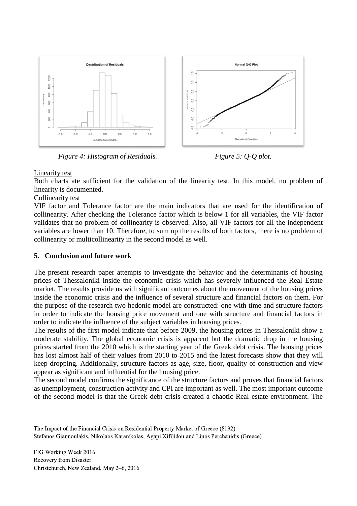

*Figure 4: Histogram of Residuals. Figure 5: Q-Q plot.*

# Linearity test

Both charts ate sufficient for the validation of the linearity test. In this model, no problem of linearity is documented.

# Collinearity test

VIF factor and Tolerance factor are the main indicators that are used for the identification of collinearity. After checking the Tolerance factor which is below 1 for all variables, the VIF factor validates that no problem of collinearity is observed. Also, all VIF factors for all the independent variables are lower than 10. Therefore, to sum up the results of both factors, there is no problem of collinearity or multicollinearity in the second model as well.

### **5. Conclusion and future work**

The present research paper attempts to investigate the behavior and the determinants of housing prices of Thessaloniki inside the economic crisis which has severely influenced the Real Estate market. The results provide us with significant outcomes about the movement of the housing prices inside the economic crisis and the influence of several structure and financial factors on them. For the purpose of the research two hedonic model are constructed: one with time and structure factors in order to indicate the housing price movement and one with structure and financial factors in order to indicate the influence of the subject variables in housing prices.

The results of the first model indicate that before 2009, the housing prices in Thessaloniki show a moderate stability. The global economic crisis is apparent but the dramatic drop in the housing prices started from the 2010 which is the starting year of the Greek debt crisis. The housing prices has lost almost half of their values from 2010 to 2015 and the latest forecasts show that they will keep dropping. Additionally, structure factors as age, size, floor, quality of construction and view appear as significant and influential for the housing price.

The second model confirms the significance of the structure factors and proves that financial factors as unemployment, construction activity and CPI are important as well. The most important outcome of the second model is that the Greek debt crisis created a chaotic Real estate environment. The

The Impact of the Financial Crisis on Residential Property Market of Greece (8192) Stefanos Giannoulakis, Nikolaos Karanikolas, Agapi Xifilidou and Linos Perchanidis (Greece)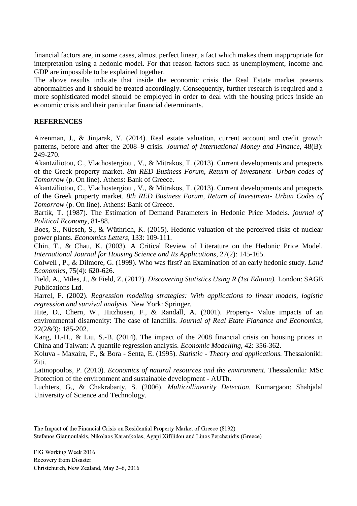financial factors are, in some cases, almost perfect linear, a fact which makes them inappropriate for interpretation using a hedonic model. For that reason factors such as unemployment, income and GDP are impossible to be explained together.

The above results indicate that inside the economic crisis the Real Estate market presents abnormalities and it should be treated accordingly. Consequently, further research is required and a more sophisticated model should be employed in order to deal with the housing prices inside an economic crisis and their particular financial determinants.

### **REFERENCES**

Aizenman, J., & Jinjarak, Y. (2014). Real estate valuation, current account and credit growth patterns, before and after the 2008–9 crisis. *Journal of International Money and Finance*, 48(B): 249-270.

Akantziliotou, C., Vlachostergiou , V., & Mitrakos, T. (2013). Current developments and prospects of the Greek property market. *8th RED Business Forum, Return of Investment- Urban codes of Tomorrow* (p. On line). Athens: Bank of Greece.

Akantziliotou, C., Vlachostergiou , V., & Mitrakos, T. (2013). Current developments and prospects of the Greek property market. *8th RED Business Forum, Return of Investment- Urban Codes of Tomorrow* (p. On line). Athens: Bank of Greece.

Bartik, T. (1987). The Estimation of Demand Parameters in Hedonic Price Models. *journal of Political Economy*, 81-88.

Boes, S., Nüesch, S., & Wüthrich, K. (2015). Hedonic valuation of the perceived risks of nuclear power plants. *Economics Letters*, 133: 109-111.

Chin, T., & Chau, K. (2003). A Critical Review of Literature on the Hedonic Price Model. *International Journal for Housing Science and Its Applications*, 27(2): 145-165.

Colwell , P., & Dilmore, G. (1999). Who was first? an Examination of an early hedonic study. *Land Economics*, 75(4): 620-626.

Field, A., Miles, J., & Field, Z. (2012). *Discovering Statistics Using R (1st Edition).* London: SAGE Publications Ltd.

Harrel, F. (2002). *Regression modeling strategies: With applications to linear models, logistic regression and survival analysis.* New York: Springer.

Hite, D., Chern, W., Hitzhusen, F., & Randall, A. (2001). Property- Value impacts of an environmental disamenity: The case of landfills. *Journal of Real Etate Fianance and Economics*, 22(2&3): 185-202.

Kang, H.-H., & Liu, S.-B. (2014). The impact of the 2008 financial crisis on housing prices in China and Taiwan: A quantile regression analysis. *Economic Modelling*, 42: 356-362.

Koluva - Maxaira, F., & Bora - Senta, E. (1995). *Statistic - Theory and applications.* Thessaloniki: Ziti.

Latinopoulos, P. (2010). *Economics of natural resources and the environment.* Thessaloniki: MSc Protection of the environment and sustainable development - AUTh.

Luchters, G., & Chakrabarty, S. (2006). *Multicollinearity Detection.* Kumargaon: Shahjalal University of Science and Technology.

The Impact of the Financial Crisis on Residential Property Market of Greece (8192) Stefanos Giannoulakis, Nikolaos Karanikolas, Agapi Xifilidou and Linos Perchanidis (Greece)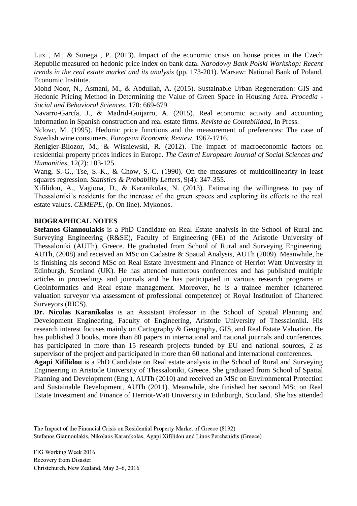Lux , M., & Sunega , P. (2013). Impact of the economic crisis on house prices in the Czech Republic measured on hedonic price index on bank data. *Narodowy Bank Polski Workshop: Recent trends in the real estate market and its analysis* (pp. 173-201). Warsaw: National Bank of Poland, Economic Institute.

Mohd Noor, N., Asmani, M., & Abdullah, A. (2015). Sustainable Urban Regeneration: GIS and Hedonic Pricing Method in Determining the Value of Green Space in Housing Area. *Procedia - Social and Behavioral Sciences*, 170: 669-679.

Navarro-García, J., & Madrid-Guijarro, A. (2015). Real economic activity and accounting information in Spanish construction and real estate firms. *Revista de Contabilidad*, In Press.

Nclovc, M. (1995). Hedonic price functions and the measurement of preferences: The case of Swedish wine consumers. *European Economic Review*, 1967-1716.

Renigier-Bilozor, M., & Wisniewski, R. (2012). The impact of macroeconomic factors on residential property prices indices in Europe. *The Central Europeam Journal of Social Sciences and Humanities*, 12(2): 103-125.

Wang, S.-G., Tse, S.-K., & Chow, S.-C. (1990). On the measures of multicollinearity in least squares regression. *Statistics & Probability Letters*, 9(4): 347-355.

Xifilidou, A., Vagiona, D., & Karanikolas, N. (2013). Estimating the willingness to pay of Thessaloniki's residents for the increase of the green spaces and exploring its effects to the real estate values. *CEMEPE*, (p. On line). Mykonos.

#### **BIOGRAPHICAL NOTES**

**Stefanos Giannoulakis** is a PhD Candidate on Real Estate analysis in the School of Rural and Surveying Engineering (R&SE), Faculty of Engineering (FE) of the Aristotle University of Thessaloniki (AUTh), Greece. He graduated from School of Rural and Surveying Engineering, AUTh, (2008) and received an MSc on Cadastre & Spatial Analysis, AUTh (2009). Meanwhile, he is finishing his second MSc on Real Estate Investment and Finance of Herriot Watt University in Edinburgh, Scotland (UK). He has attended numerous conferences and has published multiple articles in proceedings and journals and he has participated in various research programs in Geoinformatics and Real estate management. Moreover, he is a trainee member (chartered valuation surveyor via assessment of professional competence) of Royal Institution of Chartered Surveyors (RICS).

**Dr. Nicolas Karanikolas** is an Assistant Professor in the School of Spatial Planning and Development Engineering, Faculty of Engineering, Aristotle University of Thessaloniki. His research interest focuses mainly on Cartography & Geography, GIS, and Real Estate Valuation. He has published 3 books, more than 80 papers in international and national journals and conferences, has participated in more than 15 research projects funded by EU and national sources, 2 as supervisor of the project and participated in more than 60 national and international conferences.

**Agapi Xifilidou** is a PhD Candidate on Real estate analysis in the School of Rural and Surveying Engineering in Aristotle University of Thessaloniki, Greece. She graduated from School of Spatial Planning and Development (Eng.), AUTh (2010) and received an MSc on Environmental Protection and Sustainable Development, AUTh (2011). Meanwhile, she finished her second MSc on Real Estate Investment and Finance of Herriot-Watt University in Edinburgh, Scotland. She has attended

The Impact of the Financial Crisis on Residential Property Market of Greece (8192) Stefanos Giannoulakis, Nikolaos Karanikolas, Agapi Xifilidou and Linos Perchanidis (Greece)